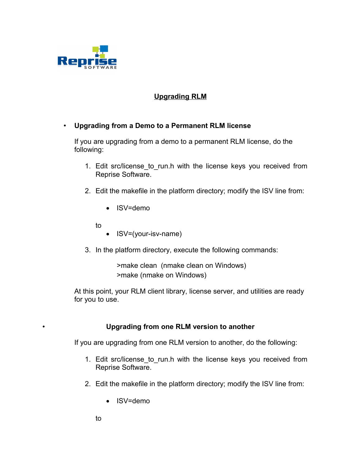

## **Upgrading RLM**

## • **Upgrading from a Demo to a Permanent RLM license**

If you are upgrading from a demo to a permanent RLM license, do the following:

- 1. Edit src/license to run.h with the license keys you received from Reprise Software.
- 2. Edit the makefile in the platform directory; modify the ISV line from:
	- ISV=demo
	- to
- ISV=(your-isv-name)
- 3. In the platform directory, execute the following commands:

>make clean (nmake clean on Windows) >make (nmake on Windows)

At this point, your RLM client library, license server, and utilities are ready for you to use.

## • **Upgrading from one RLM version to another**

If you are upgrading from one RLM version to another, do the following:

- 1. Edit src/license to run.h with the license keys you received from Reprise Software.
- 2. Edit the makefile in the platform directory; modify the ISV line from:
	- ISV=demo